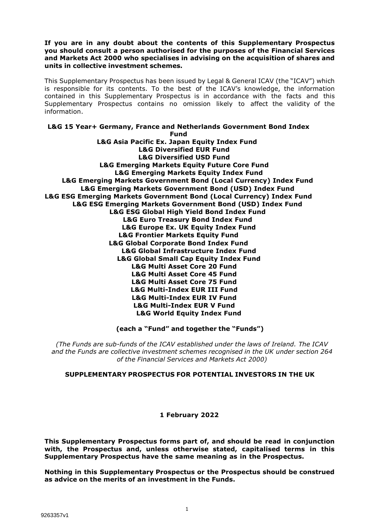**If you are in any doubt about the contents of this Supplementary Prospectus you should consult a person authorised for the purposes of the Financial Services and Markets Act 2000 who specialises in advising on the acquisition of shares and units in collective investment schemes.**

This Supplementary Prospectus has been issued by Legal & General ICAV (the "ICAV") which is responsible for its contents. To the best of the ICAV's knowledge, the information contained in this Supplementary Prospectus is in accordance with the facts and this Supplementary Prospectus contains no omission likely to affect the validity of the information.

#### **L&G 15 Year+ Germany, France and Netherlands Government Bond Index Fund**

**L&G Asia Pacific Ex. Japan Equity Index Fund L&G Diversified EUR Fund L&G Diversified USD Fund L&G Emerging Markets Equity Future Core Fund L&G Emerging Markets Equity Index Fund L&G Emerging Markets Government Bond (Local Currency) Index Fund L&G Emerging Markets Government Bond (USD) Index Fund L&G ESG Emerging Markets Government Bond (Local Currency) Index Fund L&G ESG Emerging Markets Government Bond (USD) Index Fund L&G ESG Global High Yield Bond Index Fund L&G Euro Treasury Bond Index Fund L&G Europe Ex. UK Equity Index Fund L&G Frontier Markets Equity Fund L&G Global Corporate Bond Index Fund L&G Global Infrastructure Index Fund L&G Global Small Cap Equity Index Fund L&G Multi Asset Core 20 Fund L&G Multi Asset Core 45 Fund L&G Multi Asset Core 75 Fund L&G Multi-Index EUR III Fund L&G Multi-Index EUR IV Fund L&G Multi-Index EUR V Fund L&G World Equity Index Fund**

**(each a "Fund" and together the "Funds")**

*(The Funds are sub-funds of the ICAV established under the laws of Ireland. The ICAV and the Funds are collective investment schemes recognised in the UK under section 264 of the Financial Services and Markets Act 2000)*

# **SUPPLEMENTARY PROSPECTUS FOR POTENTIAL INVESTORS IN THE UK**

# **1 February 2022**

**This Supplementary Prospectus forms part of, and should be read in conjunction with, the Prospectus and, unless otherwise stated, capitalised terms in this Supplementary Prospectus have the same meaning as in the Prospectus.**

**Nothing in this Supplementary Prospectus or the Prospectus should be construed as advice on the merits of an investment in the Funds.**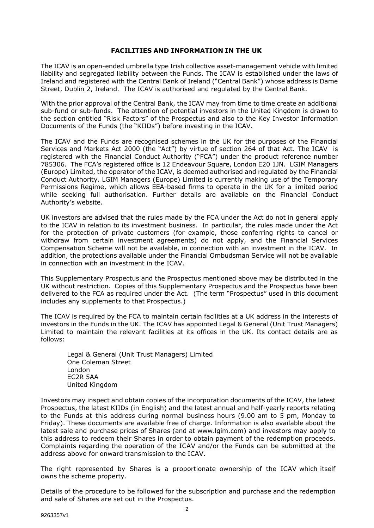## **FACILITIES AND INFORMATION IN THE UK**

The ICAV is an open-ended umbrella type Irish collective asset-management vehicle with limited liability and segregated liability between the Funds. The ICAV is established under the laws of Ireland and registered with the Central Bank of Ireland ("Central Bank") whose address is Dame Street, Dublin 2, Ireland. The ICAV is authorised and regulated by the Central Bank.

With the prior approval of the Central Bank, the ICAV may from time to time create an additional sub-fund or sub-funds. The attention of potential investors in the United Kingdom is drawn to the section entitled "Risk Factors" of the Prospectus and also to the Key Investor Information Documents of the Funds (the "KIIDs") before investing in the ICAV.

The ICAV and the Funds are recognised schemes in the UK for the purposes of the Financial Services and Markets Act 2000 (the "Act") by virtue of section 264 of that Act. The ICAV is registered with the Financial Conduct Authority ("FCA") under the product reference number 785306. The FCA's registered office is 12 Endeavour Square, London E20 1JN. LGIM Managers (Europe) Limited, the operator of the ICAV, is deemed authorised and regulated by the Financial Conduct Authority. LGIM Managers (Europe) Limited is currently making use of the Temporary Permissions Regime, which allows EEA-based firms to operate in the UK for a limited period while seeking full authorisation. Further details are available on the Financial Conduct Authority's website.

UK investors are advised that the rules made by the FCA under the Act do not in general apply to the ICAV in relation to its investment business. In particular, the rules made under the Act for the protection of private customers (for example, those conferring rights to cancel or withdraw from certain investment agreements) do not apply, and the Financial Services Compensation Scheme will not be available, in connection with an investment in the ICAV. In addition, the protections available under the Financial Ombudsman Service will not be available in connection with an investment in the ICAV.

This Supplementary Prospectus and the Prospectus mentioned above may be distributed in the UK without restriction. Copies of this Supplementary Prospectus and the Prospectus have been delivered to the FCA as required under the Act. (The term "Prospectus" used in this document includes any supplements to that Prospectus.)

The ICAV is required by the FCA to maintain certain facilities at a UK address in the interests of investors in the Funds in the UK. The ICAV has appointed Legal & General (Unit Trust Managers) Limited to maintain the relevant facilities at its offices in the UK. Its contact details are as follows:

Legal & General (Unit Trust Managers) Limited One Coleman Street London EC2R 5AA United Kingdom

Investors may inspect and obtain copies of the incorporation documents of the ICAV, the latest Prospectus, the latest KIIDs (in English) and the latest annual and half-yearly reports relating to the Funds at this address during normal business hours (9.00 am to 5 pm, Monday to Friday). These documents are available free of charge. Information is also available about the latest sale and purchase prices of Shares (and at [www.lgim.com\)](http://www.lgim.com/) and investors may apply to this address to redeem their Shares in order to obtain payment of the redemption proceeds. Complaints regarding the operation of the ICAV and/or the Funds can be submitted at the address above for onward transmission to the ICAV.

The right represented by Shares is a proportionate ownership of the ICAV which itself owns the scheme property.

Details of the procedure to be followed for the subscription and purchase and the redemption and sale of Shares are set out in the Prospectus.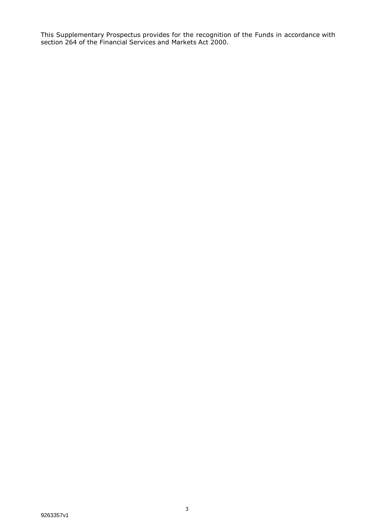This Supplementary Prospectus provides for the recognition of the Funds in accordance with section 264 of the Financial Services and Markets Act 2000.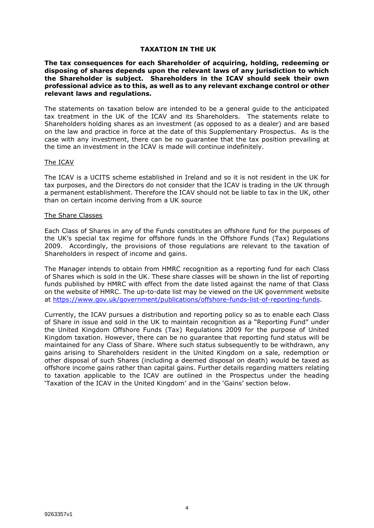## **TAXATION IN THE UK**

**The tax consequences for each Shareholder of acquiring, holding, redeeming or disposing of shares depends upon the relevant laws of any jurisdiction to which the Shareholder is subject. Shareholders in the ICAV should seek their own professional advice as to this, as well as to any relevant exchange control or other relevant laws and regulations.** 

The statements on taxation below are intended to be a general guide to the anticipated tax treatment in the UK of the ICAV and its Shareholders. The statements relate to Shareholders holding shares as an investment (as opposed to as a dealer) and are based on the law and practice in force at the date of this Supplementary Prospectus. As is the case with any investment, there can be no guarantee that the tax position prevailing at the time an investment in the ICAV is made will continue indefinitely.

#### The ICAV

The ICAV is a UCITS scheme established in Ireland and so it is not resident in the UK for tax purposes, and the Directors do not consider that the ICAV is trading in the UK through a permanent establishment. Therefore the ICAV should not be liable to tax in the UK, other than on certain income deriving from a UK source

#### The Share Classes

Each Class of Shares in any of the Funds constitutes an offshore fund for the purposes of the UK's special tax regime for offshore funds in the Offshore Funds (Tax) Regulations 2009. Accordingly, the provisions of those regulations are relevant to the taxation of Shareholders in respect of income and gains.

The Manager intends to obtain from HMRC recognition as a reporting fund for each Class of Shares which is sold in the UK. These share classes will be shown in the list of reporting funds published by HMRC with effect from the date listed against the name of that Class on the website of HMRC. The up-to-date list may be viewed on the UK government website at [https://www.gov.uk/government/publications/offshore-funds-list-of-reporting-funds.](https://www.gov.uk/government/publications/offshore-funds-list-of-reporting-funds)

Currently, the ICAV pursues a distribution and reporting policy so as to enable each Class of Share in issue and sold in the UK to maintain recognition as a "Reporting Fund" under the United Kingdom Offshore Funds (Tax) Regulations 2009 for the purpose of United Kingdom taxation. However, there can be no guarantee that reporting fund status will be maintained for any Class of Share. Where such status subsequently to be withdrawn, any gains arising to Shareholders resident in the United Kingdom on a sale, redemption or other disposal of such Shares (including a deemed disposal on death) would be taxed as offshore income gains rather than capital gains. Further details regarding matters relating to taxation applicable to the ICAV are outlined in the Prospectus under the heading 'Taxation of the ICAV in the United Kingdom' and in the 'Gains' section below.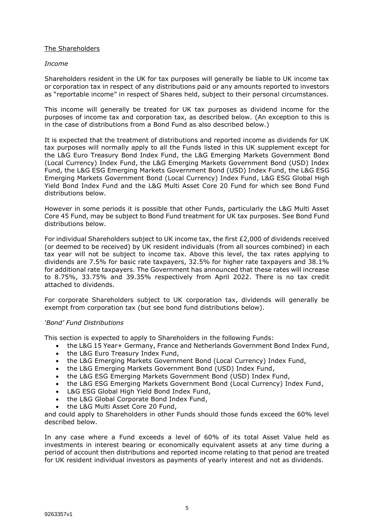# The Shareholders

## *Income*

Shareholders resident in the UK for tax purposes will generally be liable to UK income tax or corporation tax in respect of any distributions paid or any amounts reported to investors as "reportable income" in respect of Shares held, subject to their personal circumstances.

This income will generally be treated for UK tax purposes as dividend income for the purposes of income tax and corporation tax, as described below. (An exception to this is in the case of distributions from a Bond Fund as also described below.)

It is expected that the treatment of distributions and reported income as dividends for UK tax purposes will normally apply to all the Funds listed in this UK supplement except for the L&G Euro Treasury Bond Index Fund, the L&G Emerging Markets Government Bond (Local Currency) Index Fund, the L&G Emerging Markets Government Bond (USD) Index Fund, the L&G ESG Emerging Markets Government Bond (USD) Index Fund, the L&G ESG Emerging Markets Government Bond (Local Currency) Index Fund, L&G ESG Global High Yield Bond Index Fund and the L&G Multi Asset Core 20 Fund for which see Bond Fund distributions below.

However in some periods it is possible that other Funds, particularly the L&G Multi Asset Core 45 Fund, may be subject to Bond Fund treatment for UK tax purposes. See Bond Fund distributions below.

For individual Shareholders subject to UK income tax, the first £2,000 of dividends received (or deemed to be received) by UK resident individuals (from all sources combined) in each tax year will not be subject to income tax. Above this level, the tax rates applying to dividends are 7.5% for basic rate taxpayers, 32.5% for higher rate taxpayers and 38.1% for additional rate taxpayers. The Government has announced that these rates will increase to 8.75%, 33.75% and 39.35% respectively from April 2022. There is no tax credit attached to dividends.

For corporate Shareholders subject to UK corporation tax, dividends will generally be exempt from corporation tax (but see bond fund distributions below).

# *'Bond' Fund Distributions*

This section is expected to apply to Shareholders in the following Funds:

- the L&G 15 Year+ Germany, France and Netherlands Government Bond Index Fund,
- the L&G Euro Treasury Index Fund,
- the L&G Emerging Markets Government Bond (Local Currency) Index Fund,
- the L&G Emerging Markets Government Bond (USD) Index Fund,
- the L&G ESG Emerging Markets Government Bond (USD) Index Fund,
- the L&G ESG Emerging Markets Government Bond (Local Currency) Index Fund,
- L&G ESG Global High Yield Bond Index Fund,
- the L&G Global Corporate Bond Index Fund,
- the L&G Multi Asset Core 20 Fund,

and could apply to Shareholders in other Funds should those funds exceed the 60% level described below.

In any case where a Fund exceeds a level of 60% of its total Asset Value held as investments in interest bearing or economically equivalent assets at any time during a period of account then distributions and reported income relating to that period are treated for UK resident individual investors as payments of yearly interest and not as dividends.